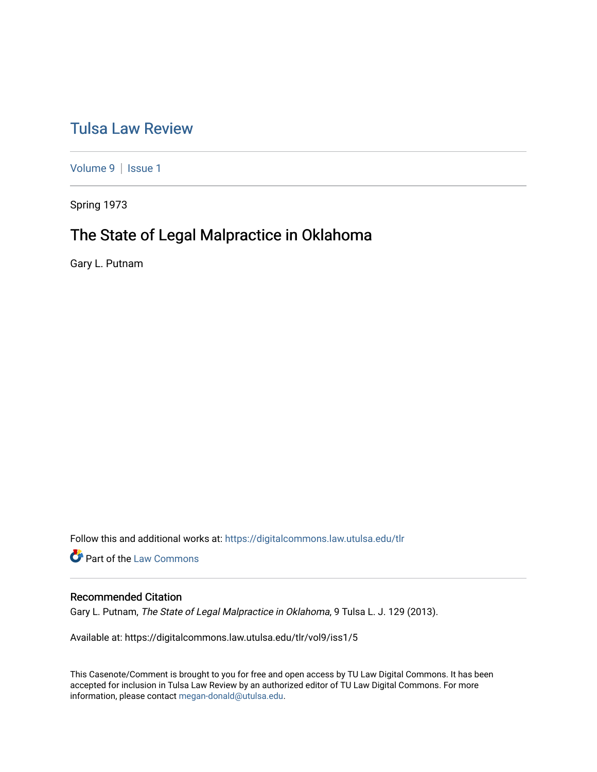# [Tulsa Law Review](https://digitalcommons.law.utulsa.edu/tlr)

[Volume 9](https://digitalcommons.law.utulsa.edu/tlr/vol9) | Issue 1

Spring 1973

# The State of Legal Malpractice in Oklahoma

Gary L. Putnam

Follow this and additional works at: [https://digitalcommons.law.utulsa.edu/tlr](https://digitalcommons.law.utulsa.edu/tlr?utm_source=digitalcommons.law.utulsa.edu%2Ftlr%2Fvol9%2Fiss1%2F5&utm_medium=PDF&utm_campaign=PDFCoverPages) 

**Part of the [Law Commons](http://network.bepress.com/hgg/discipline/578?utm_source=digitalcommons.law.utulsa.edu%2Ftlr%2Fvol9%2Fiss1%2F5&utm_medium=PDF&utm_campaign=PDFCoverPages)** 

# Recommended Citation

Gary L. Putnam, The State of Legal Malpractice in Oklahoma, 9 Tulsa L. J. 129 (2013).

Available at: https://digitalcommons.law.utulsa.edu/tlr/vol9/iss1/5

This Casenote/Comment is brought to you for free and open access by TU Law Digital Commons. It has been accepted for inclusion in Tulsa Law Review by an authorized editor of TU Law Digital Commons. For more information, please contact [megan-donald@utulsa.edu.](mailto:megan-donald@utulsa.edu)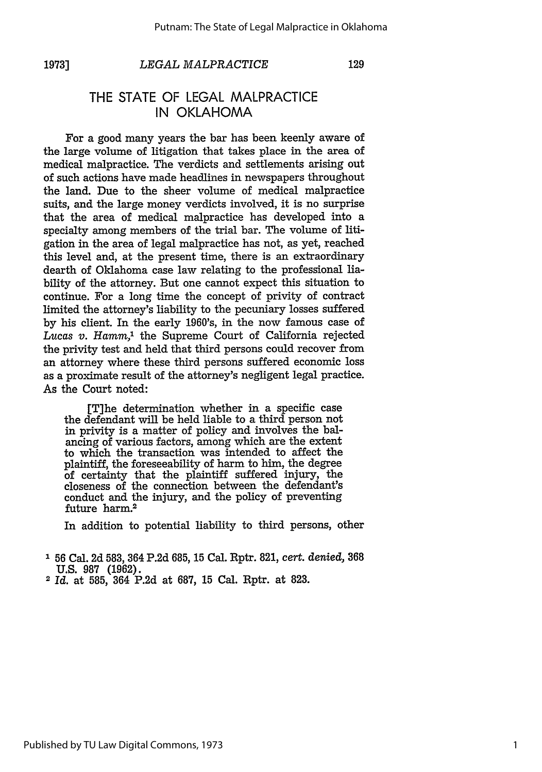# *LEGAL MALPRACTICE*

129

# THE **STATE** OF **LEGAL** MALPRACTICE **IN** OKLAHOMA

For a good many years the bar has been keenly aware of the large volume of litigation that takes place in the area of medical malpractice. The verdicts and settlements arising out of such actions have made headlines in newspapers throughout the land. Due to the sheer volume of medical malpractice suits, and the large money verdicts involved, it is no surprise that the area of medical malpractice has developed into a specialty among members of the trial bar. The volume of litigation in the area of legal malpractice has not, as yet, reached this level and, at the present time, there is an extraordinary dearth of Oklahoma case law relating to the professional liability of the attorney. But one cannot expect this situation to continue. For a long time the concept of privity of contract limited the attorney's liability to the pecuniary losses suffered **by** his client. In the early 1960's, in the now famous case of *Lucas v. Hamm,'* the Supreme Court of California rejected the privity test and held that third persons could recover from an attorney where these third persons suffered economic loss as a proximate result of the attorney's negligent legal practice. As the Court noted:

[T]he determination whether in a specific case the defendant will be held liable to a third person not in privity is a matter of policy and involves the balancing of various factors, among which are the extent to which the transaction was intended to affect the plaintiff, the foreseeability of harm to him, the degree of certainty that the plaintiff suffered injury, the closeness of the connection between the defendant's conduct and the injury, and the policy of preventing future harm.2

In addition to potential liability to third persons, other

<sup>2</sup>*Id.* at 585, 364 P.2d at 687, 15 Cal. Rptr. at 823.

**<sup>&#</sup>x27; 56** Cal. 2d **583,** 364 P.2d 685, 15 Cal. Rptr. 821, *cert. denied,* 368 **U.S. 987** (1962).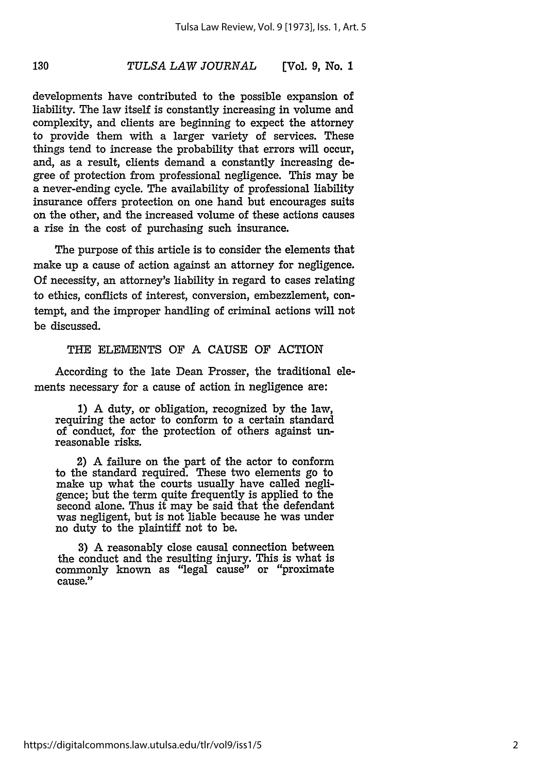130

developments have contributed to the possible expansion of liability. The law itself is constantly increasing in volume and complexity, and clients are beginning to expect the attorney to provide them with a larger variety of services. These things tend to increase the probability that errors will occur, and, as a result, clients demand a constantly increasing degree of protection from professional negligence. This may be a never-ending cycle. The availability of professional liability insurance offers protection on one hand but encourages suits on the other, and the increased volume of these actions causes a rise in the cost of purchasing such insurance.

The purpose of this article is to consider the elements that make up a cause of action against an attorney for negligence. Of necessity, an attorney's liability in regard to cases relating to ethics, conflicts of interest, conversion, embezzlement, contempt, and the improper handling of criminal actions will not be discussed.

### THE ELEMENTS OF A CAUSE OF ACTION

According to the late Dean Prosser, the traditional elements necessary for a cause of action in negligence are:

**1)** A duty, or obligation, recognized by the law, requiring the actor to conform to a certain standard of conduct, for the protection of others against unreasonable risks.

2) A failure on the part of the actor to conform to the standard required. These two elements go to make up what the courts usually have called negligence; but the term quite frequently is applied to the second alone. Thus it may be said that the defendant was negligent, but is not liable because he was under no duty to the plaintiff not to be.

3) A reasonably close causal connection between the conduct and the resulting injury. This is what is commonly known as "legal cause" or "proximate cause."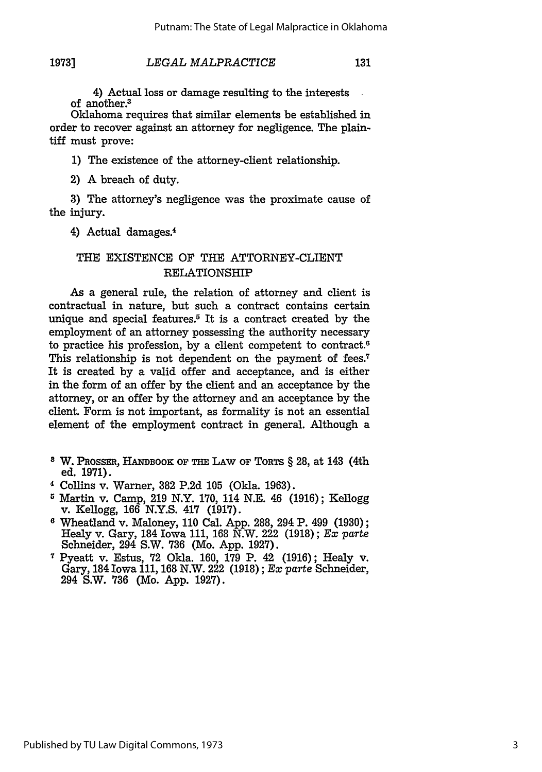**1973]**

4) Actual loss or damage resulting to the interests of another <sup>3</sup>

Oklahoma requires that similar elements be established in order to recover against an attorney for negligence. The plaintiff must prove:

**1)** The existence of the attorney-client relationship.

2) A breach of duty.

**3)** The attorney's negligence was the proximate cause of the injury.

4) Actual damages. <sup>4</sup>

# **THE** EXISTENCE OF THE ATTORNEY-CLIENT RELATIONSHIP

As a general rule, the relation of attorney and client is contractual in nature, but such a contract contains certain unique and special features.5 It is a contract created **by** the employment of an attorney possessing the authority necessary to practice his profession, **by** a client competent to contract.6 This relationship is not dependent on the payment of fees.<sup>7</sup> It is created **by** a valid offer and acceptance, and is either in the form of an offer **by** the client and an acceptance **by** the attorney, or an offer **by** the attorney and an acceptance **by** the client. Form is not important, as formality is not an essential element of the employment contract in general. Although a

- **8** W. PRossER, **HANDBOOK OF THE LAW OF ToRTs** § **28,** at 143 (4th ed. **1971).**
- 4 Collins v. Warner, **382 P.2d 105** (Okla. **1963).**
- Martin v. Camp, **219** N.Y. **170,** 114 **N.E.** 46 **(1916);** Kellogg v. Kellogg, **166 N.Y.S.** 417 **(1917).**
- **6** Wheatland v. Maloney, **110** Cal. **App. 288,** 294 P. 499 **(1930);** Healy v. Gary, 184 Iowa **111, 168** N.W. 222 **(1918);** *Ex parte* Schneider, 294 S.W. **736** (Mo. **App. 1927).**
- **<sup>7</sup>**Pyeatt v. Estus, **72** Okla. **160, 179** P. 42 **(1916);** Healy v. Gary, 184 Iowa **111, 168** N.W. 222 **(1918);** *Ex parte* Schneider, 294 S.W. **736** (Mo. **App. 1927).**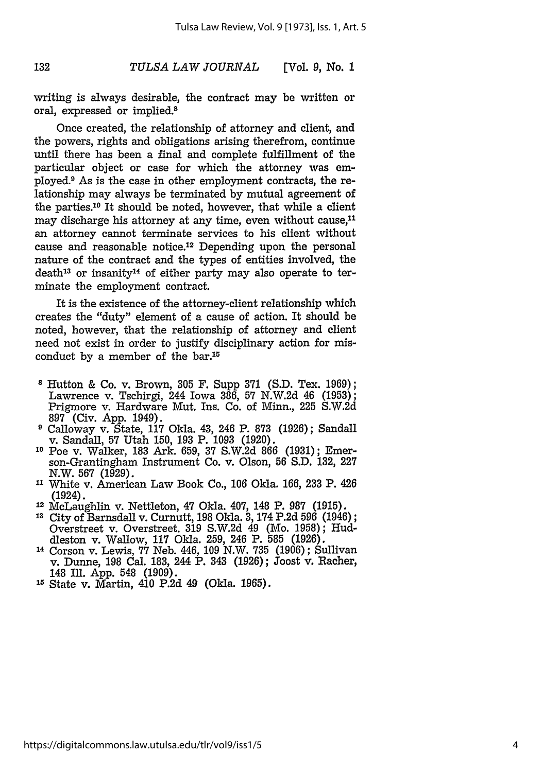writing is always desirable, the contract may be written or oral, expressed or implied.8

Once created, the relationship of attorney and client, and the powers, rights and obligations arising therefrom, continue until there has been a final and complete fulfillment of the particular object or case for which the attorney was employed.9 As is the case in other employment contracts, the relationship may always be terminated by mutual agreement of the parties.10 It should be noted, however, that while a client may discharge his attorney at any time, even without cause,<sup>11</sup> an attorney cannot terminate services to his client without cause and reasonable notice.12 Depending upon the personal nature of the contract and the types of entities involved, the  $death^{13}$  or insanity<sup>14</sup> of either party may also operate to terminate the employment contract.

It is the existence of the attorney-client relationship which creates the "duty" element of a cause of action. It should be noted, however, that the relationship of attorney and client need not exist in order to justify disciplinary action for misconduct by a member of the bar.15

- **8** Hutton & Co. v. Brown, 305 F. Supp 371 (S.D. Tex. 1969); Lawrence v. Tschirgi, 244 Iowa 386, 57 N.W.2d 46 (1953); Prigmore v. Hardware Mut. Ins. Co. of Minn., 225 S.W.2d 897 (Civ. App. 1949).
- **9** Calloway v. State, 117 Okla. 43, 246 P. 873 (1926); Sandall v. Sandall, 57 Utah 150, 193 P. 1093 (1920).
- **10** Poe v. Walker, 183 Ark. 659, 37 S.W.2d 866 (1931); Emerson-Grantingham Instrument Co. v. Olson, **56** S.D. 132, **227** N.W. **567** (1929).
- **<sup>11</sup>**White v. American Law Book Co., 106 Okla. 166, 233 P. 426 (1924).
- **<sup>12</sup>**McLaughlin v. Nettleton, 47 Okla. 407, 148 P. 987 (1915).
- **<sup>13</sup>**City of Barnsdall v. Curnutt, 198 Okla. **3,** 174 P.2d **596** (1946); Overstreet v. Overstreet. **319** S.W.2d 49 (Mo. 1958); Huddleston v. Wallow, 117 Okla. 259, 246 P. **585** (1926).
- **<sup>14</sup>**Corson v. Lewis, **77** Neb. 446, 109 N.W. 735 (1906); Sullivan v. Dunne, 198 Cal. 183, 244 P. 343 (1926); Joost v. Racher, 148 Il. App. 548 (1909).
- **<sup>15</sup>**State v. Martin, 410 P.2d 49 (Okla. 1965).

132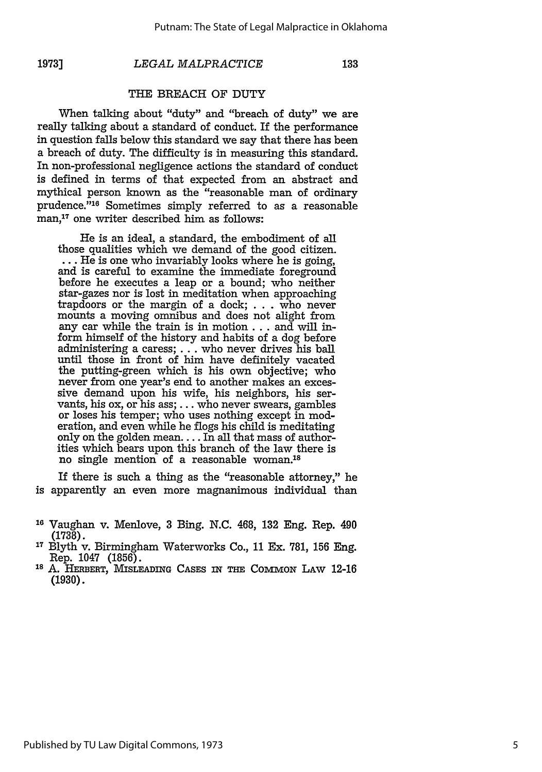**1973]**

### *LEGAL MALPRACTICE*

133

# THE BREACH OF DUTY

When talking about "duty" and "breach of duty" we are really talking about a standard of conduct. If the performance in question falls below this standard we say that there has been a breach of duty. The difficulty is in measuring this standard. In non-professional negligence actions the standard of conduct is defined in terms of that expected from an abstract and mythical person known as the "reasonable man of ordinary prudence."'16 Sometimes simply referred to as a reasonable man,<sup>17</sup> one writer described him as follows:

He is an ideal, a standard, the embodiment of all those qualities which we demand of the good citizen. **...** He is one who invariably looks where he is going, and is careful to examine the immediate foreground before he executes a leap or a bound; who neither star-gazes nor is lost in meditation when approaching trapdoors or the margin of a dock; . . . who never mounts a moving omnibus and does not alight from any car while the train is in motion... and will inform himself of the history and habits of a dog before administering a caress; **...** who never drives his ball until those in front of him have definitely vacated the putting-green which is his own objective; who never from one year's end to another makes an excessive demand upon his wife, his neighbors, his servants, his ox, or his ass; **...** who never swears, gambles or loses his temper; who uses nothing except in moderation, and even while he flogs his child is meditating only on the golden mean.... In all that mass of authorities which bears upon this branch of the law there is no single mention of a reasonable woman.'8

If there is such a thing as the "reasonable attorney," he is apparently an even more magnanimous individual than

- **<sup>16</sup>**Vaughan v. Menlove, **3** Bing. N.C. 468, **132** Eng. Rep. 490 (1738).
- **1"** Blyth v. Birmingham Waterworks Co., 11 Ex. 781, 156 Eng. Rep. 1047 (1856).
- <sup>18</sup> A. HERBERT, MISLEADING CASES IN THE COMMON LAW 12-16 (1930).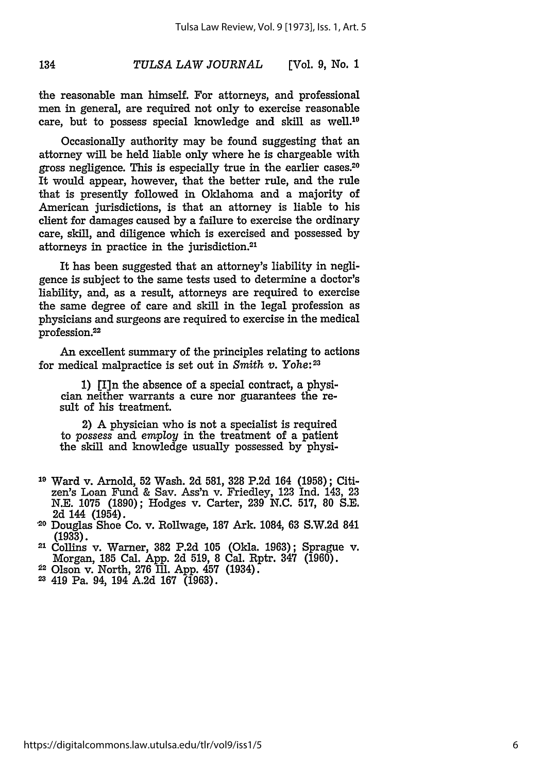the reasonable man himself. For attorneys, and professional men in general, are required not only to exercise reasonable care, but to possess special knowledge and skill as well.10

134

Occasionally authority may be found suggesting that an attorney will be held liable only where he is chargeable with gross negligence. This is especially true in the earlier cases.20 It would appear, however, that the better rule, and the rule that is presently followed in Oklahoma and a majority of American jurisdictions, is that an attorney is liable to his client for damages caused **by** a failure to exercise the ordinary care, skill, and diligence which is exercised and possessed **by** attorneys in practice in the jurisdiction. <sup>21</sup>

It has been suggested that an attorney's liability in negligence is subject to the same tests used to determine a doctor's liability, and, as a result, attorneys are required to exercise the same degree of care and skill in the legal profession as physicians and surgeons are required to exercise in the medical profession.<sup>22</sup>

An excellent summary of the principles relating to actions for medical malpractice is set out in *Smith v. Yohe: <sup>23</sup>*

**1) [I]n** the absence of a special contract, a physician neither warrants a cure nor guarantees the result of his treatment.

2) A physician who is not a specialist is required to *possess* and *employ* in the treatment of a patient the skill and knowledge usually possessed by physi-

- **19** Ward v. Arnold, **52** Wash. 2d 581, **328** P.2d 164 (1958); Citizen's Loan Fund & Say. Ass'n v. Friedley, 123 Ind. 143, 23 N.E. **1075** (1890); Hodges v. Carter, 239 **N.C.** 517, 80 S.E. 2d 144 (1954).
- **<sup>20</sup>**Douglas Shoe Co. v. Rollwage, **187** Ark. 1084, 63 S.W.2d 841 (1933).
- 21 Collins v. Warner, 382 P.2d 105 (Okla. 1963); Sprague v. Morgan, 185 Cal. **App.** 2d 519, 8 Cal. Rptr. 347 (1960).
- 2 Olson v. North, 276 Ill. **App.** 457 (1934).
- **<sup>23</sup>**419 Pa. 94, 194 A.2d 167 (1963).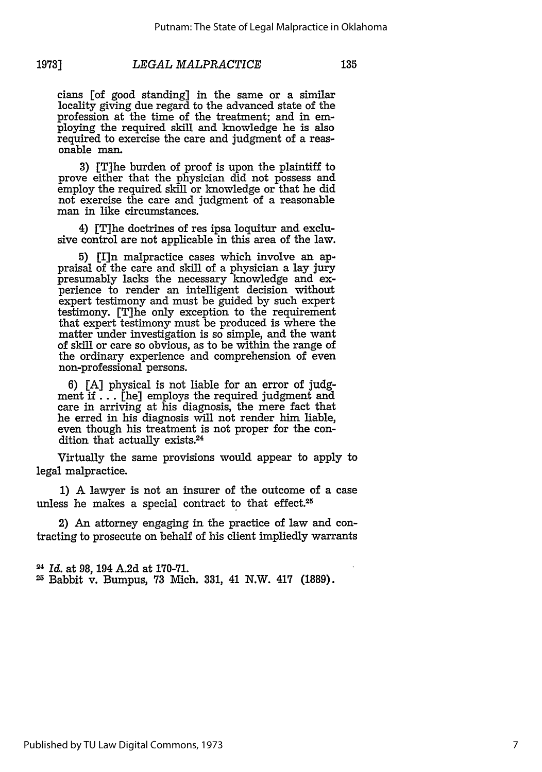cians [of good standing] in the same or a similar locality giving due regard to the advanced state of the profession at the time of the treatment; and in employing the required skill and knowledge he is also required to exercise the care and judgment of a reasonable man.

**3)** [T]he burden of proof is upon the plaintiff to prove either that the physician did not possess and employ the required skill or knowledge or that he did not exercise the care and judgment of a reasonable man in like circumstances.

4) [T]he doctrines of res ipsa loquitur and exclusive control are not applicable in this area of the law.

**5)** [I]n malpractice cases which involve an appraisal of the care and skill of a physician a lay jury presumably lacks the necessary knowledge and experience to render an intelligent decision without expert testimony and must be guided **by** such expert testimony. [T]he only exception to the requirement that expert testimony must be produced is where the matter under investigation is so simple, and the want of skill or care so obvious, as to be within the range of the ordinary experience and comprehension of even non-professional persons.

**6) [A]** physical is not liable for an error of judgment **if...** [he] employs the required judgment and care in arriving at his diagnosis, the mere fact that he erred in his diagnosis will not render him liable, even though his treatment is not proper for the condition that actually **exists. <sup>24</sup>**

Virtually the same provisions would appear to apply to legal malpractice.

**1)** A lawyer is not an insurer of the outcome of a case unless he makes a special contract to that effect.<sup>25</sup>

2) An attorney engaging in the practice of law and contracting to prosecute on behalf of his client impliedly warrants

<sup>24</sup>*Id.* at **98,** 194 **A.2d** at **170-71. 2** Babbit v. Bumpus, **73** Mich. **331,** 41 N.W. 417 **(1889).**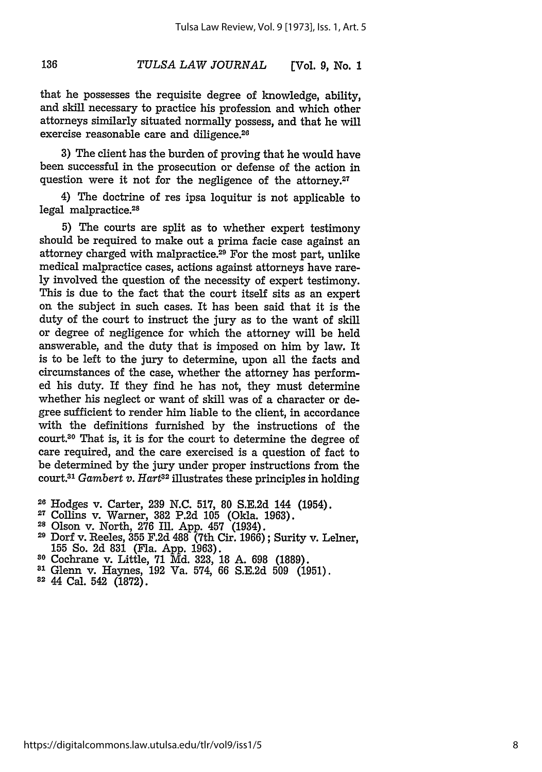that he possesses the requisite degree of knowledge, ability, and skill necessary to practice his profession and which other attorneys similarly situated normally possess, and that he will exercise reasonable care and diligence.<sup>26</sup>

**3)** The client has the burden of proving that he would have been successful in the prosecution or defense of the action in question were it not for the negligence of the attorney.<sup>27</sup>

4) The doctrine of res ipsa loquitur is not applicable to legal malpractice.28

**5)** The courts are split as to whether expert testimony should be required to make out a prima facie case against an attorney charged with malpractice.29 For the most part, unlike medical malpractice cases, actions against attorneys have rare**ly** involved the question of the necessity of expert testimony. This is due to the fact that the court itself sits as an expert on the subject in such cases. It has been said that it is the duty of the court to instruct the jury as to the want of skill or degree of negligence for which the attorney will be held answerable, and the duty that is imposed on him **by** law. It is to be left to the jury to determine, upon all the facts and circumstances of the case, whether the attorney has performed his duty. If they find he has not, they must determine whether his neglect or want of skill was of a character or degree sufficient to render him liable to the client, in accordance with the definitions furnished **by** the instructions of the court.30 That is, it is for the court to determine the degree of care required, and the care exercised is a question of fact to be determined **by** the jury under proper instructions from the court.31 *Gambert v. Hart32* illustrates these principles in holding

- 
- **<sup>28</sup>**Olson v. North, **276 Ill. App.** 457 (1934).
- *<sup>29</sup>*Dorf v. leeles, **355 F.2d 488** (7th Cir. **1966);** Surity v. Lelner, **<sup>155</sup>**So. **2d 831** (Fla. **App. 1963). <sup>30</sup>**Cochrane v. Little, **71 Md.** 323, **18 A.** 698 **(1889).**
- 
- **<sup>81</sup>**Glenn v. Haynes, 192 Va. 574, 66 S.E.2d 509 (1951).
- 82 44 Cal. 542 (1872).

136

**<sup>26</sup>**Hodges v. Carter, **239 N.C. 517, 80 S.E.2d** 144 (1954). **<sup>27</sup>**Collins v. Warner, **382 P.2d 105** (Okla. **1963).**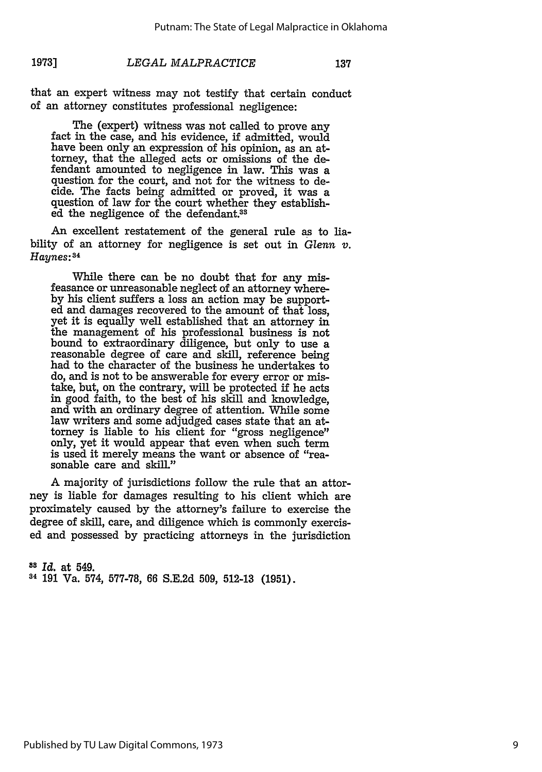that an expert witness may not testify that certain conduct of an attorney constitutes professional negligence:

The (expert) witness was not called to prove any fact in the case, and his evidence, if admitted, would have been only an expression of his opinion, as an attorney, that the alleged acts or omissions of the defendant amounted to negligence in law. This was a question for the court, and not for the witness to decide. The facts being admitted or proved, it was a question of law for the court whether they established the negligence of the defendant.<sup>33</sup>

An excellent restatement of the general rule as to liability of an attorney for negligence is set out in *Glenn v.* Haynes: 34

While there can be no doubt that for any misfeasance or unreasonable neglect of an attorney whereby his client suffers a loss an action may be supported and damages recovered to the amount of that loss, yet it is equally well established that an attorney in the management of his professional business is not bound to extraordinary diligence, but only to use a reasonable degree of care and skill, reference being had to the character of the business he undertakes to do, and is not to be answerable for every error or mistake, but, on the contrary, will be protected **if** he acts in good faith, to the best of his skill and knowledge, and with an ordinary degree of attention. While some law writers and some adjudged cases state that an attorney is liable to his client for "gross negligence" only, yet it would appear that even when such term is used it merely means the want or absence of "reasonable care and skill."

A majority of jurisdictions follow the rule that an attorney is liable for damages resulting to his client which are proximately caused by the attorney's failure to exercise the degree of skill, care, and diligence which is commonly exercised and possessed by practicing attorneys in the jurisdiction

**8** *Id.* at 549. **<sup>34</sup>**191 Va. 574, 577-78, 66 S.E.2d 509, 512-13 (1951).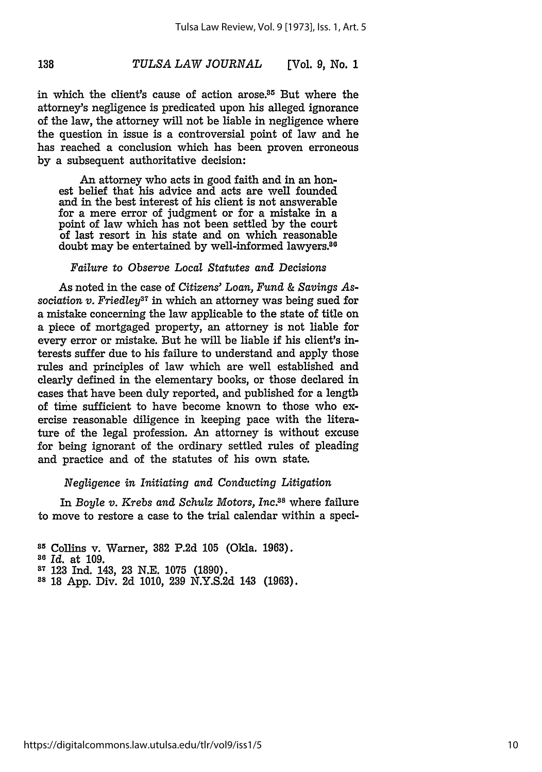in which the client's cause of action arose.<sup>35</sup> But where the attorney's negligence is predicated upon his alleged ignorance of the law, the attorney will not be liable in negligence where the question in issue is a controversial point of law and he has reached a conclusion which has been proven erroneous **by** a subsequent authoritative decision:

An attorney who acts in good faith and in an honest belief that his advice and acts are well founded and in the best interest of his client is not answerable for a mere error of judgment or for a mistake in a point of law which has not been settled **by** the court of last resort in his state and on which reasonable doubt may be entertained by well-informed lawyers.<sup>86</sup>

### *Failure to Observe Local Statutes and Decisions*

As noted in the case of *Citizens' Loan, Fund & Savings Association v. Friedley*<sup>37</sup> in which an attorney was being sued for **a** mistake concerning the law applicable to the state of title on **a** piece of mortgaged property, an attorney is not liable for every error or mistake. But he will be liable **if** his client's interests suffer due to his failure to understand and apply those rules and principles of law which are well established and clearly defined in the elementary books, or those declared in cases that have been duly reported, and published for a length of time sufficient to have become known to those who exercise reasonable diligence in keeping pace with the literature of the legal profession. **An** attorney is without excuse for being ignorant of the ordinary settled rules of pleading and practice and of the statutes of his own state.

### *Negligence in Initiating and Conducting Litigation*

In *Boyle v. Krebs and Schulz Motors, Inc.88* where failure to move to restore a case to the trial calendar within a speci-

138

**88 18 App.** Div. **2d 1010, 239 N.Y.S.2d** 143 **(1963).**

**<sup>15</sup>**Collins v. Warner, **382 P.2d 105** (Okla. **1963). <sup>80</sup>***Id.* at **109.**

**<sup>87 123</sup> Ind.** 143, **23 N.E. 1075 (1890).**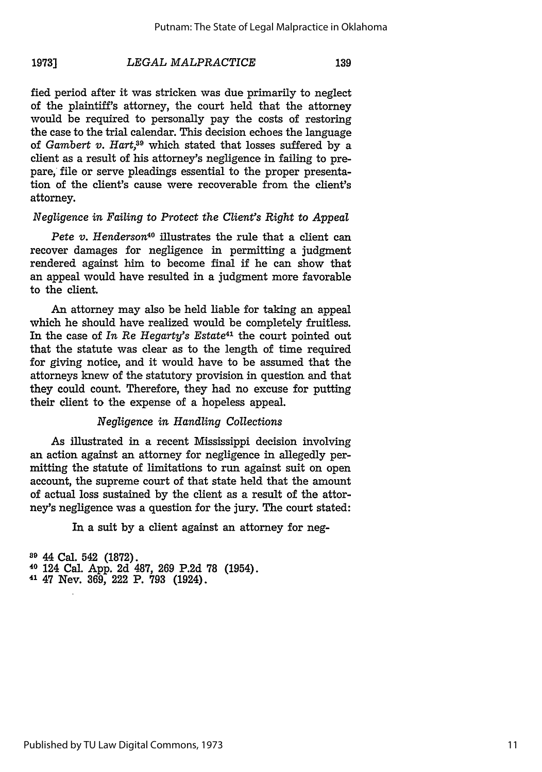139

fied period after it was stricken was due primarily to neglect of the plaintiff's attorney, the court held that the attorney would be required to personally pay the costs of restoring the case to the trial calendar. This decision echoes the language of *Gambert v. Hart,9* which stated that losses suffered by a client as a result of his attorney's negligence in failing to prepare, file or serve pleadings essential to the proper presentation of the client's cause were recoverable from the client's attorney.

# *Negligence in Failing to Protect the Client's Right to Appeal*

*Pete v. Henderson40* illustrates the rule that a client can recover damages for negligence in permitting a judgment rendered against him to become final if he can show that an appeal would have resulted in a judgment more favorable to the client.

An attorney may also be held liable for taking an appeal which he should have realized would be completely fruitless. In the case of *In Re Hegarty's Estate41* the court pointed out that the statute was clear as to the length of time required for giving notice, and it would have to be assumed that the attorneys knew of the statutory provision in question and that they could count. Therefore, they had no excuse for putting their client to the expense of a hopeless appeal.

# *Negligence in Handling Collections*

As illustrated in a recent Mississippi decision involving an action against an attorney for negligence in allegedly permitting the statute of limitations to run against suit on open account, the supreme court of that state held that the amount of actual loss sustained by the client as a result of the attorney's negligence was a question for the jury. The court stated:

In a suit by a client against an attorney for neg-

**<sup>89</sup>**44 Cal. 542 **(1872). <sup>40</sup>**124 Cal. **App. 2d 487,** 269 **P.2d 78** (1954). **<sup>41</sup>**47 Nev. **369,** 222 P. **793** (1924).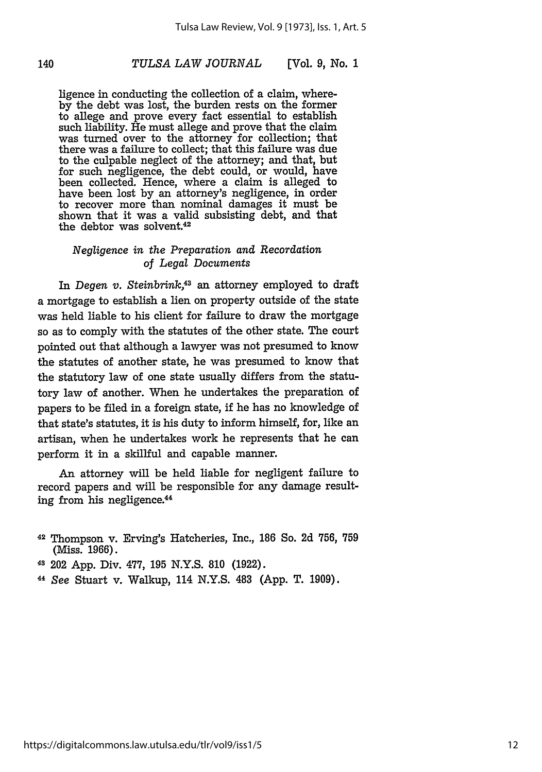ligence in conducting the collection of a claim, where**by** the debt was lost, the burden rests on the former to allege and prove every fact essential to establish such liability. He must allege and prove that the claim was turned over to the attorney for collection; that there was a failure to collect; that this failure was due to the culpable neglect of the attorney; and that, but for such negligence, the debt could, or would, have been collected. Hence, where a claim is alleged to have been lost **by** an attorney's negligence, in order to recover more than nominal damages it must be shown that it was a valid subsisting debt, and that the debtor was solvent.<sup>42</sup>

### *Negligence in the Preparation and Recordation* of *Legal Documents*

In *Degen v. Steinbrink,<sup>43</sup>*an attorney employed to draft a mortgage to establish a lien on property outside of the state was held liable to his client for failure to draw the mortgage so as to comply with the statutes of the other state. The court pointed out that although a lawyer was not presumed to know the statutes of another state, he was presumed to know that the statutory law of one state usually differs from the statutory law of another. When he undertakes the preparation of papers to be filed in a foreign state, if he has no knowledge of that state's statutes, it is his duty to inform himself, for, like an artisan, when he undertakes work he represents that he can perform it in a skillful and capable manner.

An attorney will be held liable for negligent failure to record papers and will be responsible for any damage resulting from his negligence.44

- **<sup>42</sup>**Thompson v. Erving's Hatcheries, Inc., **186** So. **2d 756, 759** (Miss. **1966).**
- **4s** 202 **App.** Div. **477, 195 N.Y.S. 810 (1922).**
- *<sup>44</sup>See* Stuart v. Walkup, 114 **N.Y.S.** 483 **(App.** T. **1909).**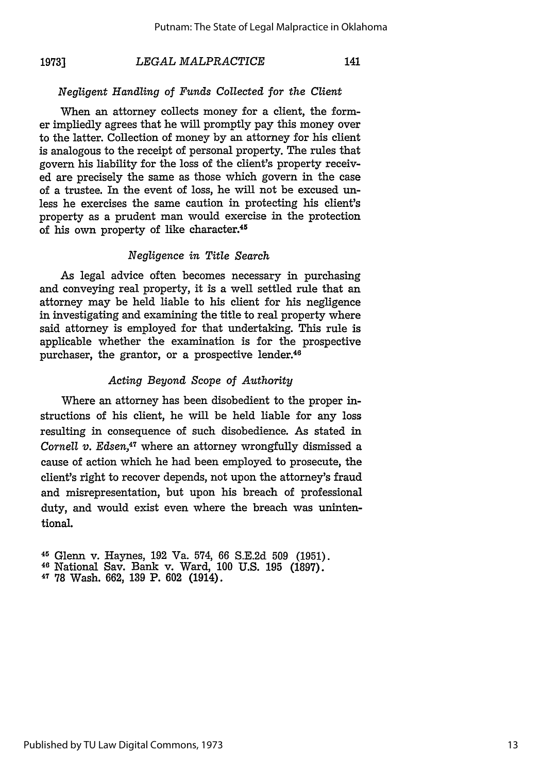### *LEGAL MALPRACTICE* **19731**

# 141

### *Negligent Handling of Funds Collected for the Client*

When an attorney collects money for a client, the former impliedly agrees that he will promptly pay this money over to the latter. Collection of money by an attorney for his client is analogous to the receipt of personal property. The rules that govern his liability for the loss of the client's property received are precisely the same as those which govern in the case of a trustee. In the event of loss, he will not be excused unless he exercises the same caution in protecting his client's property as a prudent man would exercise in the protection of his own property of like character.45

### *Negligence in Title Search*

As legal advice often becomes necessary in purchasing and conveying real property, it is a well settled rule that an attorney may be held liable to his client for his negligence in investigating and examining the title to real property where said attorney is employed for that undertaking. This rule is applicable whether the examination is for the prospective purchaser, the grantor, or a prospective lender.46

# *Acting Beyond Scope of Authority*

Where an attorney has been disobedient to the proper instructions of his client, he will be held liable for any loss resulting in consequence of such disobedience. As stated in *Cornell v. Edsen*,<sup>47</sup> where an attorney wrongfully dismissed a cause of action which he had been employed to prosecute, the client's right to recover depends, not upon the attorney's fraud and misrepresentation, but upon his breach of professional duty, and would exist even where the breach was unintentional.

45 Glenn v. Haynes, **192** Va. 574, 66 **S.E.2d 509 (1951).** <sup>46</sup>National Sav. Bank v. Ward, **100 U.S. 195 (1897).** 47 78 Wash. **662, 139** P. **602** (1914).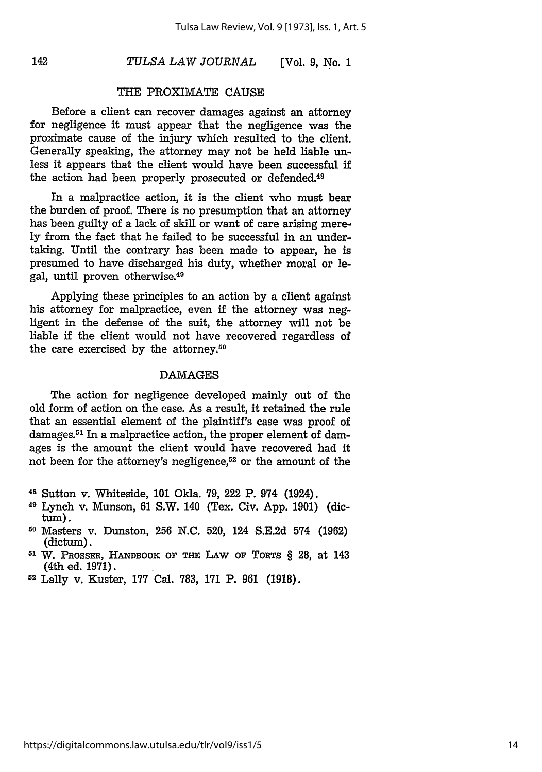*TULSA LAW JOURNAL* **(Vol.** *9, No. 1*

# THE PROXIMATE CAUSE

Before a client can recover damages against an attorney for negligence it must appear that the negligence was the proximate cause of the injury which resulted to the client. Generally speaking, the attorney may not be held liable unless it appears that the client would have been successful if the action had been properly prosecuted or defended.<sup>48</sup>

In a malpractice action, it is the client who must bear the burden of proof. There is no presumption that an attorney has been guilty of a lack of skill or want of care arising merely from the fact that he failed to be successful in an undertaking. Until the contrary has been made to appear, he is presumed to have discharged his duty, whether moral or legal, until proven otherwise.<sup>49</sup>

Applying these principles to an action by a client against his attorney for malpractice, even if the attorney was negligent in the defense of the suit, the attorney will not be liable if the client would not have recovered regardless of the care exercised by the attorney.<sup>50</sup>

### DAMAGES

The action for negligence developed mainly out of the old form of action on the case. As a result, it retained the rule that an essential element of the plaintiff's case was proof of damages. $51$  In a malpractice action, the proper element of damages is the amount the client would have recovered had it not been for the attorney's negligence,<sup>52</sup> or the amount of the

- 49 Lynch v. Munson, 61 S.W. 140 (Tex. Civ. App. 1901) (dictum).
- **11** Masters v. Dunston, **256** N.C. 520, 124 **S.E.2d** 574 (1962) (dictum).
- **<sup>51</sup>**W. PRossFR, **HANDBOOK OF THE** LAW **OF** TORTS § 28, at 143 (4th ed. **1971).**
- 52 Lally v. Kuster, **177** Cal. **783, 171** P. **961 (1918).**

**<sup>48</sup>**Sutton v. Whiteside, 101 Okla. 79, 222 P. 974 (1924).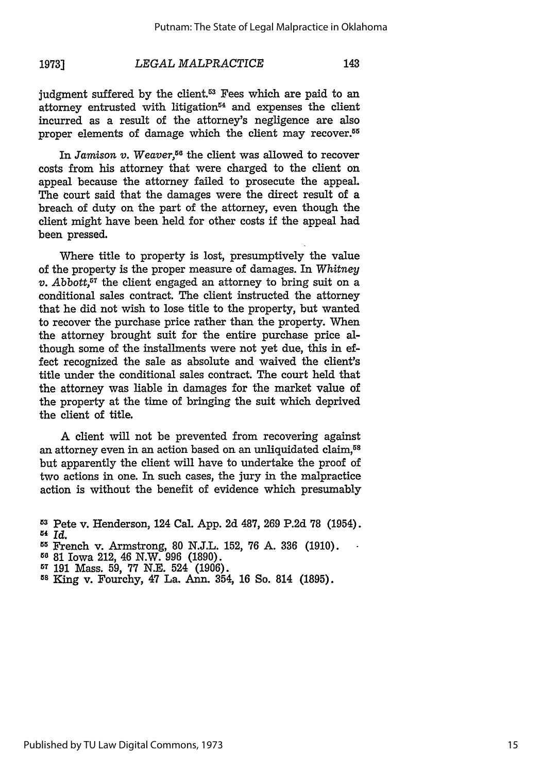143

judgment suffered by the client.<sup>53</sup> Fees which are paid to an attorney entrusted with litigation $54$  and expenses the client incurred as a result of the attorney's negligence are also proper elements of damage which the client may recover.<sup>55</sup>

In *Jamison v.* Weaver,<sup>56</sup> the client was allowed to recover costs from his attorney that were charged to the client on appeal because the attorney failed to prosecute the appeal. The court said that the damages were the direct result of a breach of duty on the part of the attorney, even though the client might have been held for other costs if the appeal had been pressed.

Where title to property is lost, presumptively the value of the property is the proper measure of damages. In *Whitney v. Abbott*,<sup> $57$ </sup> the client engaged an attorney to bring suit on a conditional sales contract. The client instructed the attorney that he did not wish to lose title to the property, but wanted to recover the purchase price rather than the property. When the attorney brought suit for the entire purchase price although some of the installments were not yet due, this in effect recognized the sale as absolute and waived the client's title under the conditional sales contract. The court held that the attorney was liable in damages for the market value of the property at the time of bringing the suit which deprived the client of title.

A client will not be prevented from recovering against an attorney even in an action based on an unliquidated claim,<sup>58</sup> but apparently the client will have to undertake the proof of two actions in one. In such cases, the jury in the malpractice action is without the benefit of evidence which presumably

- **560** 81 Iowa 212, 46 N.W. 996 (1890).
- 
- **<sup>57</sup>**191 Mass. 59, **77** N.E. 524 (1906). **Is** King v. Fourchy, 47 La. Ann. 354, 16 So. 814 (1895).

**<sup>53</sup>**Pete v. Henderson, 124 Cal. App. 2d 487, 269 P.2d **78** (1954). **<sup>54</sup>***Id.*

**<sup>5</sup>** French v. Armstrong, 80 N.J.L. 152, **76** A. **336** (1910).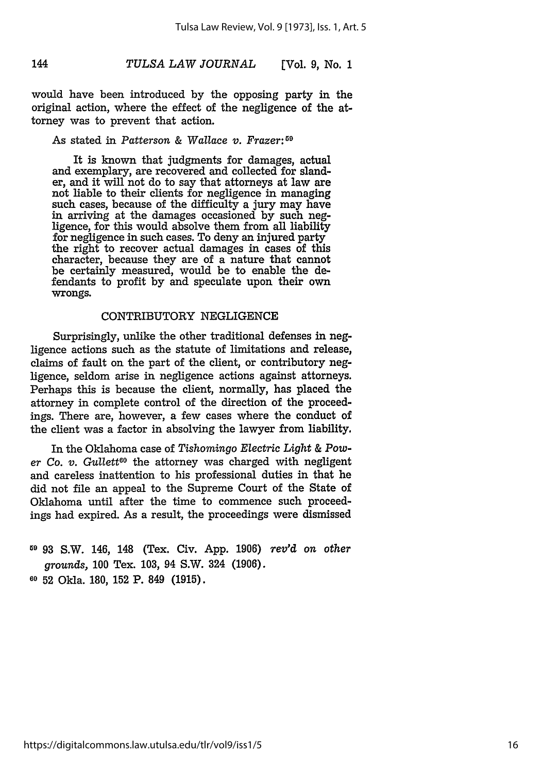would have been introduced by the opposing party in the original action, where the effect of the negligence of the attorney was to prevent that action.

# As stated in *Patterson & Wallace v. Frazer:59*

It is known that judgments for damages, actual and exemplary, are recovered and collected for slander, and it will not do to say that attorneys at law are not liable to their clients for negligence in managing such cases, because of the difficulty a jury may have in arriving at the damages occasioned by such negligence, for this would absolve them from all liability for negligence in such cases. To deny an injured party the right to recover actual damages in cases of this character, because they are of a nature that cannot be certainly measured, would be to enable the defendants to profit by and speculate upon their own wrongs.

### CONTRIBUTORY NEGLIGENCE

Surprisingly, unlike the other traditional defenses in negligence actions such as the statute of limitations and release, claims of fault on the part of the client, or contributory negligence, seldom arise in negligence actions against attorneys. Perhaps this is because the client, normally, has placed the attorney in complete control of the direction of the proceedings. There are, however, a few cases where the conduct of the client was a factor in absolving the lawyer from liability.

In the Oklahoma case of *Tishomingo Electric Light & Power Co. v. Gullett60* the attorney was charged with negligent and careless inattention to his professional duties in that he did not file an appeal to the Supreme Court of the State of Oklahoma until after the time to commence such proceedings had expired. As a result, the proceedings were dismissed

**<sup>59</sup>**93 S.W. 146, 148 (Tex. Civ. App. 1906) *rev'd on other grounds,* 100 Tex. 103, 94 S.W. 324 (1906). **<sup>60</sup>**52 Okla. 180, 152 P. 849 (1915).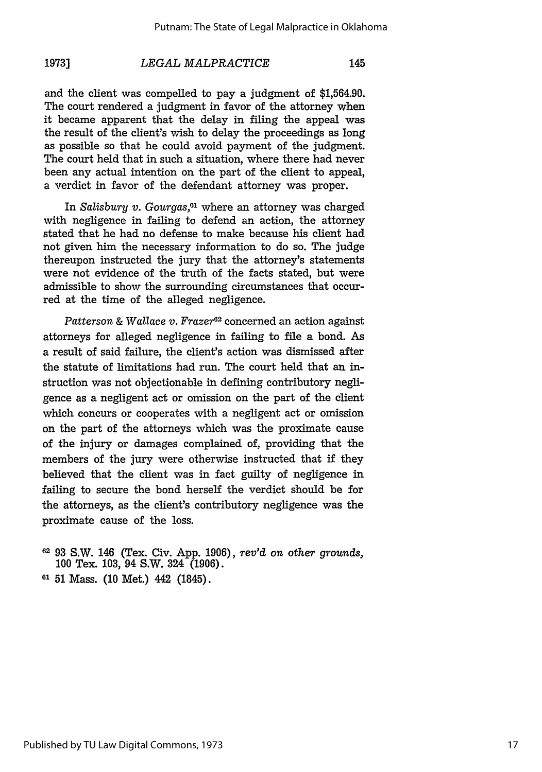and the client was compelled to pay a judgment of \$1,564.90. The court rendered a judgment in favor of the attorney when it became apparent that the delay in filing the appeal was the result of the client's wish to delay the proceedings as long as possible so that he could avoid payment of the judgment. The court held that in such a situation, where there had never been any actual intention on the part of the client to appeal, a verdict in favor of the defendant attorney was proper.

In *Salisbury v. Gourgas,61* where an attorney was charged with negligence in failing to defend an action, the attorney stated that he had no defense to make because his client had not given him the necessary information to do so. The judge thereupon instructed the jury that the attorney's statements were not evidence of the truth of the facts stated, but were admissible to show the surrounding circumstances that occurred at the time of the alleged negligence.

*Patterson & Wallace v. Frazer62* concerned an action against attorneys for alleged negligence in failing to file a bond. As a result of said failure, the client's action was dismissed after the statute of limitations had run. The court held that an instruction was not objectionable in defining contributory negligence as a negligent act or omission on the part of the client which concurs or cooperates with a negligent act or omission on the part of the attorneys which was the proximate cause of the injury or damages complained of, providing that the members of the jury were otherwise instructed that if they believed that the client was in fact guilty of negligence in failing to secure the bond herself the verdict should be for the attorneys, as the client's contributory negligence was the proximate cause of the loss.

- **<sup>62</sup>**93 S.W. 146 (Tex. Civ. App. 1906), *rev'd on other grounds,* 100 Tex. 103, 94 S.W. 324 (1906).
- **<sup>61</sup>**51 Mass. (10 Met.) 442 (1845).